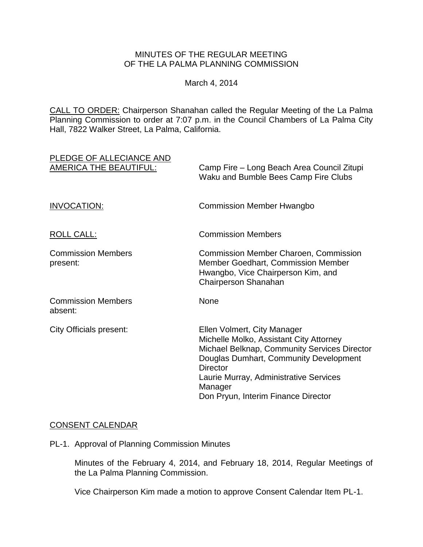## MINUTES OF THE REGULAR MEETING OF THE LA PALMA PLANNING COMMISSION

March 4, 2014

CALL TO ORDER: Chairperson [Shanahan called the Regular Meeting of the La Palma](http://lapalma.granicus.com/MediaPlayerFrameHandler.php?view_id=&clip_id=811&meta_id=106778)  Planning Commission to order at 7:07 [p.m. in the Council Chambers of La Palma City](http://lapalma.granicus.com/MediaPlayerFrameHandler.php?view_id=&clip_id=811&meta_id=106778)  [Hall, 7822 Walker Street, La Palma, California.](http://lapalma.granicus.com/MediaPlayerFrameHandler.php?view_id=&clip_id=811&meta_id=106778)

| PLEDGE OF ALLECIANCE AND<br><b>AMERICA THE BEAUTIFUL:</b> | Camp Fire – Long Beach Area Council Zitupi<br>Waku and Bumble Bees Camp Fire Clubs                                                                                                                                                                                              |
|-----------------------------------------------------------|---------------------------------------------------------------------------------------------------------------------------------------------------------------------------------------------------------------------------------------------------------------------------------|
| INVOCATION:                                               | <b>Commission Member Hwangbo</b>                                                                                                                                                                                                                                                |
| <b>ROLL CALL:</b>                                         | <b>Commission Members</b>                                                                                                                                                                                                                                                       |
| <b>Commission Members</b><br>present:                     | <b>Commission Member Charoen, Commission</b><br><b>Member Goedhart, Commission Member</b><br>Hwangbo, Vice Chairperson Kim, and<br>Chairperson Shanahan                                                                                                                         |
| <b>Commission Members</b><br>absent:                      | None                                                                                                                                                                                                                                                                            |
| <b>City Officials present:</b>                            | Ellen Volmert, City Manager<br>Michelle Molko, Assistant City Attorney<br>Michael Belknap, Community Services Director<br>Douglas Dumhart, Community Development<br><b>Director</b><br>Laurie Murray, Administrative Services<br>Manager<br>Don Pryun, Interim Finance Director |

# [CONSENT CALENDAR](http://lapalma.granicus.com/MediaPlayerFrameHandler.php?view_id=&clip_id=811&meta_id=106791)

PL-1. Approval of Planning Commission Minutes

Minutes of the February 4, 2014, and February 18, 2014, Regular Meetings of the La Palma Planning Commission.

Vice Chairperson Kim made a motion to approve Consent Calendar Item PL-1.